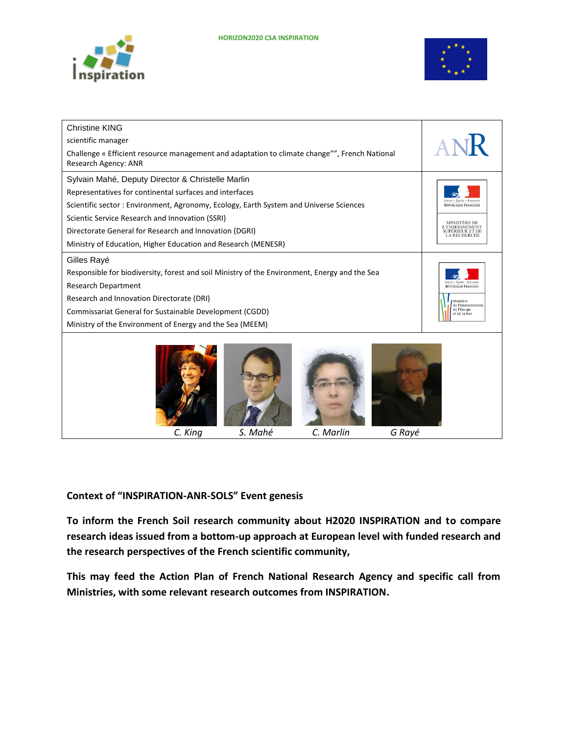



| <b>Christine KING</b>                                                                                                 |         |           |                                                    |                                                        |
|-----------------------------------------------------------------------------------------------------------------------|---------|-----------|----------------------------------------------------|--------------------------------------------------------|
| scientific manager                                                                                                    |         |           |                                                    | ANK                                                    |
| Challenge « Efficient resource management and adaptation to climate change"", French National<br>Research Agency: ANR |         |           |                                                    |                                                        |
| Sylvain Mahé, Deputy Director & Christelle Marlin                                                                     |         |           |                                                    |                                                        |
| Representatives for continental surfaces and interfaces                                                               |         |           |                                                    |                                                        |
| Scientific sector: Environment, Agronomy, Ecology, Earth System and Universe Sciences                                 |         |           |                                                    | RÉPUBLIQUE FRANÇAISE                                   |
| Scientic Service Research and Innovation (SSRI)                                                                       |         |           |                                                    | <b>MINISTÈRE DE</b>                                    |
| Directorate General for Research and Innovation (DGRI)                                                                |         |           |                                                    | 'ENSEIGNEMENT<br>UPÉRIEUR ET DE<br><b>LA RECHERCHE</b> |
| Ministry of Education, Higher Education and Research (MENESR)                                                         |         |           |                                                    |                                                        |
| Gilles Rayé                                                                                                           |         |           |                                                    |                                                        |
| Responsible for biodiversity, forest and soil Ministry of the Environment, Energy and the Sea                         |         |           |                                                    |                                                        |
| <b>Research Department</b>                                                                                            |         |           |                                                    | ibareá e Éanlisé e Fratareis<br>RÉPUBLIQUE FRANÇAISE   |
| Research and Innovation Directorate (DRI)                                                                             |         |           |                                                    | Ministère                                              |
| Commissariat General for Sustainable Development (CGDD)                                                               |         |           | de l'Environnement<br>de l'Énergie<br>et de la Mer |                                                        |
| Ministry of the Environment of Energy and the Sea (MEEM)                                                              |         |           |                                                    |                                                        |
| C. King                                                                                                               | S. Mahé | C. Marlin | G Rayé                                             |                                                        |

**Context of "INSPIRATION-ANR-SOLS" Event genesis**

**To inform the French Soil research community about H2020 INSPIRATION and to compare research ideas issued from a bottom-up approach at European level with funded research and the research perspectives of the French scientific community,**

**This may feed the Action Plan of French National Research Agency and specific call from Ministries, with some relevant research outcomes from INSPIRATION.**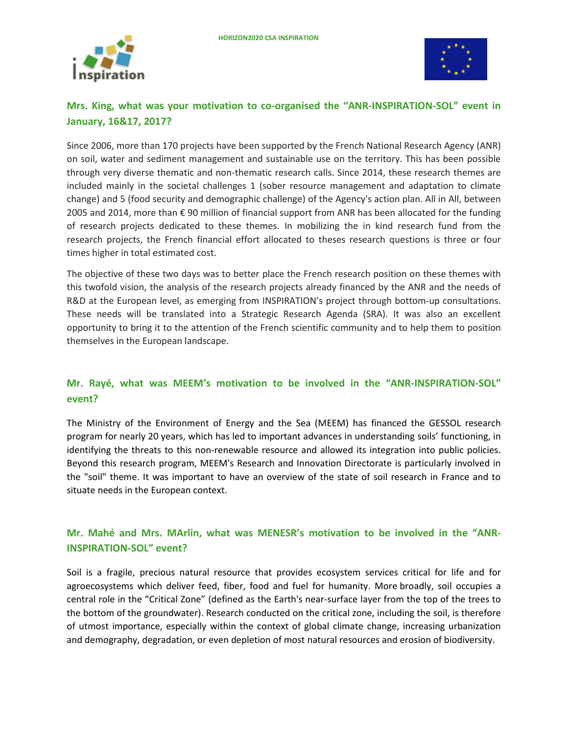



# **Mrs. King, what was your motivation to co-organised the "ANR-INSPIRATION-SOL" event in January, 16&17, 2017?**

Since 2006, more than 170 projects have been supported by the French National Research Agency (ANR) on soil, water and sediment management and sustainable use on the territory. This has been possible through very diverse thematic and non-thematic research calls. Since 2014, these research themes are included mainly in the societal challenges 1 (sober resource management and adaptation to climate change) and 5 (food security and demographic challenge) of the Agency's action plan. All in All, between 2005 and 2014, more than € 90 million of financial support from ANR has been allocated for the funding of research projects dedicated to these themes. In mobilizing the in kind research fund from the research projects, the French financial effort allocated to theses research questions is three or four times higher in total estimated cost.

The objective of these two days was to better place the French research position on these themes with this twofold vision, the analysis of the research projects already financed by the ANR and the needs of R&D at the European level, as emerging from INSPIRATION's project through bottom-up consultations. These needs will be translated into a Strategic Research Agenda (SRA). It was also an excellent opportunity to bring it to the attention of the French scientific community and to help them to position themselves in the European landscape.

## **Mr. Rayé, what was MEEM's motivation to be involved in the "ANR-INSPIRATION-SOL" event?**

The Ministry of the Environment of Energy and the Sea (MEEM) has financed the GESSOL research program for nearly 20 years, which has led to important advances in understanding soils' functioning, in identifying the threats to this non-renewable resource and allowed its integration into public policies. Beyond this research program, MEEM's Research and Innovation Directorate is particularly involved in the "soil" theme. It was important to have an overview of the state of soil research in France and to situate needs in the European context.

## **Mr. Mahé and Mrs. MArlin, what was MENESR's motivation to be involved in the "ANR-INSPIRATION-SOL" event?**

Soil is a fragile, precious natural resource that provides ecosystem services critical for life and for agroecosystems which deliver feed, fiber, food and fuel for humanity. More broadly, soil occupies a central role in the "Critical Zone" (defined as the Earth's near-surface layer from the top of the trees to the bottom of the groundwater). Research conducted on the critical zone, including the soil, is therefore of utmost importance, especially within the context of global climate change, increasing urbanization and demography, degradation, or even depletion of most natural resources and erosion of biodiversity.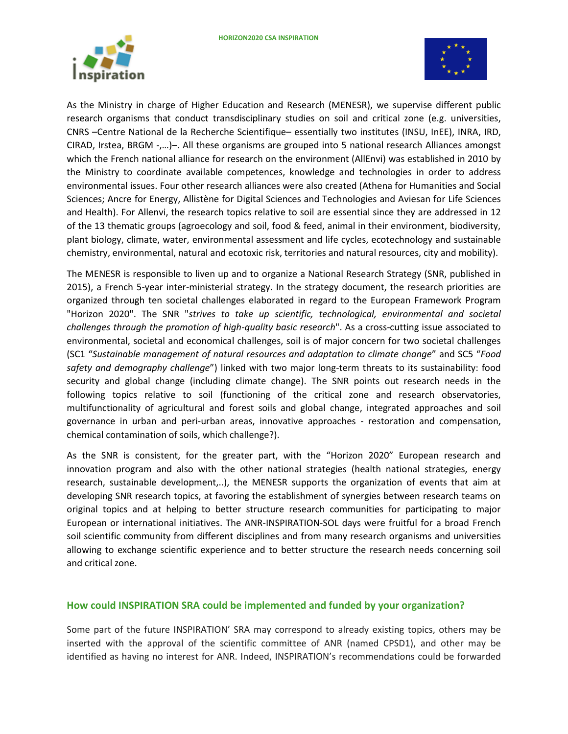



As the Ministry in charge of Higher Education and Research (MENESR), we supervise different public research organisms that conduct transdisciplinary studies on soil and critical zone (e.g. universities, CNRS –Centre National de la Recherche Scientifique– essentially two institutes (INSU, InEE), INRA, IRD, CIRAD, Irstea, BRGM -,…)–. All these organisms are grouped into 5 national research Alliances amongst which the French national alliance for research on the environment (AllEnvi) was established in 2010 by the Ministry to coordinate available competences, knowledge and technologies in order to address environmental issues. Four other research alliances were also created (Athena for Humanities and Social Sciences; Ancre for Energy, Allistène for Digital Sciences and Technologies and Aviesan for Life Sciences and Health). For Allenvi, the research topics relative to soil are essential since they are addressed in 12 of the 13 thematic groups (agroecology and soil, food & feed, animal in their environment, biodiversity, plant biology, climate, water, environmental assessment and life cycles, ecotechnology and sustainable chemistry, environmental, natural and ecotoxic risk, territories and natural resources, city and mobility).

The MENESR is responsible to liven up and to organize a National Research Strategy (SNR, published in 2015), a French 5-year inter-ministerial strategy. In the strategy document, the research priorities are organized through ten societal challenges elaborated in regard to the European Framework Program "Horizon 2020". The SNR "*strives to take up scientific, technological, environmental and societal challenges through the promotion of high-quality basic research*". As a cross-cutting issue associated to environmental, societal and economical challenges, soil is of major concern for two societal challenges (SC1 "*Sustainable management of natural resources and adaptation to climate change*" and SC5 "*Food safety and demography challenge*") linked with two major long-term threats to its sustainability: food security and global change (including climate change). The SNR points out research needs in the following topics relative to soil (functioning of the critical zone and research observatories, multifunctionality of agricultural and forest soils and global change, integrated approaches and soil governance in urban and peri-urban areas, innovative approaches - restoration and compensation, chemical contamination of soils, which challenge?).

As the SNR is consistent, for the greater part, with the "Horizon 2020" European research and innovation program and also with the other national strategies (health national strategies, energy research, sustainable development,..), the MENESR supports the organization of events that aim at developing SNR research topics, at favoring the establishment of synergies between research teams on original topics and at helping to better structure research communities for participating to major European or international initiatives. The ANR-INSPIRATION-SOL days were fruitful for a broad French soil scientific community from different disciplines and from many research organisms and universities allowing to exchange scientific experience and to better structure the research needs concerning soil and critical zone.

#### **How could INSPIRATION SRA could be implemented and funded by your organization?**

Some part of the future INSPIRATION' SRA may correspond to already existing topics, others may be inserted with the approval of the scientific committee of ANR (named CPSD1), and other may be identified as having no interest for ANR. Indeed, INSPIRATION's recommendations could be forwarded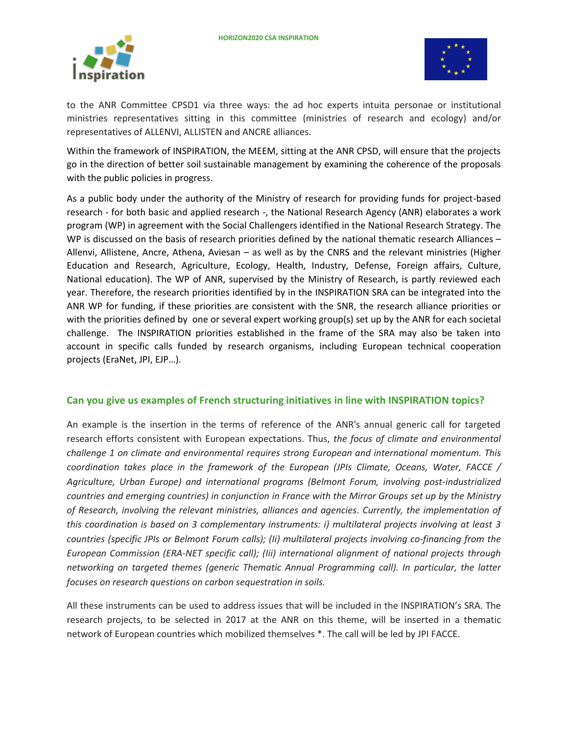



to the ANR Committee CPSD1 via three ways: the ad hoc experts intuita personae or institutional ministries representatives sitting in this committee (ministries of research and ecology) and/or representatives of ALLENVI, ALLISTEN and ANCRE alliances.

Within the framework of INSPIRATION, the MEEM, sitting at the ANR CPSD, will ensure that the projects go in the direction of better soil sustainable management by examining the coherence of the proposals with the public policies in progress.

As a public body under the authority of the Ministry of research for providing funds for project-based research - for both basic and applied research -, the National Research Agency (ANR) elaborates a work program (WP) in agreement with the Social Challengers identified in the National Research Strategy. The WP is discussed on the basis of research priorities defined by the national thematic research Alliances – Allenvi, Allistene, Ancre, Athena, Aviesan – as well as by the CNRS and the relevant ministries (Higher Education and Research, Agriculture, Ecology, Health, Industry, Defense, Foreign affairs, Culture, National education). The WP of ANR, supervised by the Ministry of Research, is partly reviewed each year. Therefore, the research priorities identified by in the INSPIRATION SRA can be integrated into the ANR WP for funding, if these priorities are consistent with the SNR, the research alliance priorities or with the priorities defined by one or several expert working group(s) set up by the ANR for each societal challenge. The INSPIRATION priorities established in the frame of the SRA may also be taken into account in specific calls funded by research organisms, including European technical cooperation projects (EraNet, JPI, EJP…).

#### **Can you give us examples of French structuring initiatives in line with INSPIRATION topics?**

An example is the insertion in the terms of reference of the ANR's annual generic call for targeted research efforts consistent with European expectations. Thus, *the focus of climate and environmental challenge 1 on climate and environmental requires strong European and international momentum. This coordination takes place in the framework of the European (JPIs Climate, Oceans, Water, FACCE / Agriculture, Urban Europe) and international programs (Belmont Forum, involving post-industrialized countries and emerging countries) in conjunction in France with the Mirror Groups set up by the Ministry of Research, involving the relevant ministries, alliances and agencies*. *Currently, the implementation of this coordination is based on 3 complementary instruments: i) multilateral projects involving at least 3 countries (specific JPIs or Belmont Forum calls); (Ii) multilateral projects involving co-financing from the European Commission (ERA-NET specific call); (Iii) international alignment of national projects through networking on targeted themes (generic Thematic Annual Programming call). In particular, the latter focuses on research questions on carbon sequestration in soils.*

All these instruments can be used to address issues that will be included in the INSPIRATION's SRA. The research projects, to be selected in 2017 at the ANR on this theme, will be inserted in a thematic network of European countries which mobilized themselves \*. The call will be led by JPI FACCE.